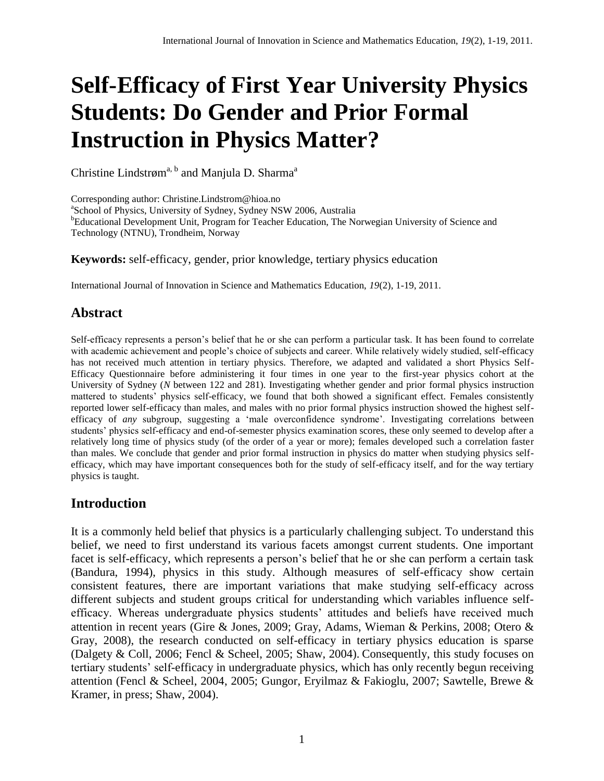# **Self-Efficacy of First Year University Physics Students: Do Gender and Prior Formal Instruction in Physics Matter?**

Christine Lindstrøm<sup>a, b</sup> and Manjula D. Sharma<sup>a</sup>

Corresponding author: [Christine.Lindstrom@hioa.no](mailto:Christine.Lindstrom@hioa.no) <sup>a</sup>School of Physics, University of Sydney, Sydney NSW 2006, Australia <sup>b</sup>Educational Development Unit, Program for Teacher Education, The Norwegian University of Science and Technology (NTNU), Trondheim, Norway

**Keywords:** self-efficacy, gender, prior knowledge, tertiary physics education

International Journal of Innovation in Science and Mathematics Education, *19*(2), 1-19, 2011.

# **Abstract**

Self-efficacy represents a person's belief that he or she can perform a particular task. It has been found to correlate with academic achievement and people's choice of subjects and career. While relatively widely studied, self-efficacy has not received much attention in tertiary physics. Therefore, we adapted and validated a short Physics Self-Efficacy Questionnaire before administering it four times in one year to the first-year physics cohort at the University of Sydney (*N* between 122 and 281). Investigating whether gender and prior formal physics instruction mattered to students' physics self-efficacy, we found that both showed a significant effect. Females consistently reported lower self-efficacy than males, and males with no prior formal physics instruction showed the highest selfefficacy of *any* subgroup, suggesting a 'male overconfidence syndrome'. Investigating correlations between students' physics self-efficacy and end-of-semester physics examination scores, these only seemed to develop after a relatively long time of physics study (of the order of a year or more); females developed such a correlation faster than males. We conclude that gender and prior formal instruction in physics do matter when studying physics selfefficacy, which may have important consequences both for the study of self-efficacy itself, and for the way tertiary physics is taught.

# **Introduction**

It is a commonly held belief that physics is a particularly challenging subject. To understand this belief, we need to first understand its various facets amongst current students. One important facet is self-efficacy, which represents a person's belief that he or she can perform a certain task [\(Bandura, 1994\)](#page-16-0), physics in this study. Although measures of self-efficacy show certain consistent features, there are important variations that make studying self-efficacy across different subjects and student groups critical for understanding which variables influence selfefficacy. Whereas undergraduate physics students' attitudes and beliefs have received much attention in recent years [\(Gire & Jones, 2009;](#page-16-1) [Gray, Adams, Wieman & Perkins, 2008;](#page-16-2) [Otero &](#page-17-0)  [Gray, 2008\)](#page-17-0), the research conducted on self-efficacy in tertiary physics education is sparse [\(Dalgety & Coll, 2006;](#page-16-3) [Fencl & Scheel, 2005;](#page-16-4) [Shaw, 2004\)](#page-17-1). Consequently, this study focuses on tertiary students' self-efficacy in undergraduate physics, which has only recently begun receiving attention [\(Fencl & Scheel, 2004,](#page-16-5) [2005;](#page-16-4) [Gungor, Eryilmaz & Fakioglu, 2007;](#page-16-6) [Sawtelle, Brewe &](#page-17-2)  [Kramer, in press;](#page-17-2) [Shaw, 2004\)](#page-17-1).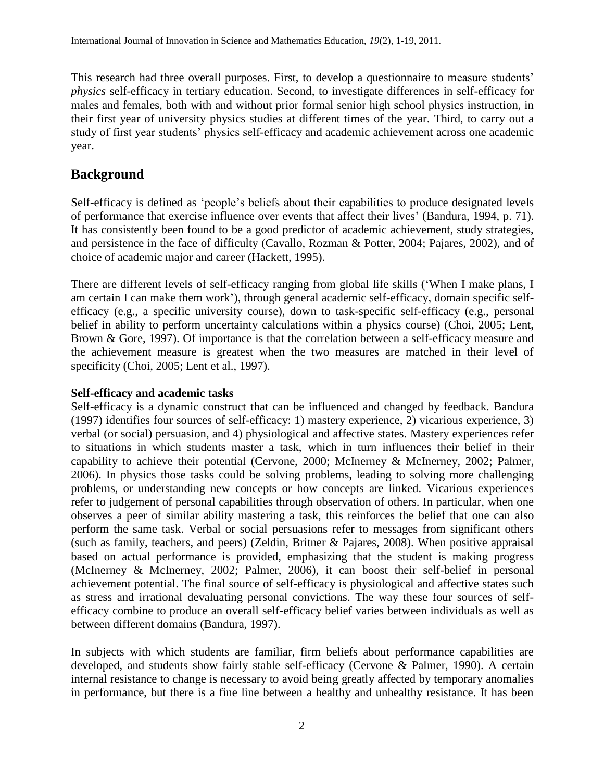This research had three overall purposes. First, to develop a questionnaire to measure students' *physics* self-efficacy in tertiary education. Second, to investigate differences in self-efficacy for males and females, both with and without prior formal senior high school physics instruction, in their first year of university physics studies at different times of the year. Third, to carry out a study of first year students' physics self-efficacy and academic achievement across one academic year.

# **Background**

Self-efficacy is defined as 'people's beliefs about their capabilities to produce designated levels of performance that exercise influence over events that affect their lives' [\(Bandura, 1994, p. 71\)](#page-16-0). It has consistently been found to be a good predictor of academic achievement, study strategies, and persistence in the face of difficulty [\(Cavallo, Rozman & Potter, 2004;](#page-16-7) [Pajares, 2002\)](#page-17-3), and of choice of academic major and career [\(Hackett, 1995\)](#page-16-8).

There are different levels of self-efficacy ranging from global life skills ('When I make plans, I am certain I can make them work'), through general academic self-efficacy, domain specific selfefficacy (e.g., a specific university course), down to task-specific self-efficacy (e.g., personal belief in ability to perform uncertainty calculations within a physics course) [\(Choi, 2005;](#page-16-9) [Lent,](#page-17-4)  [Brown & Gore, 1997\)](#page-17-4). Of importance is that the correlation between a self-efficacy measure and the achievement measure is greatest when the two measures are matched in their level of specificity [\(Choi, 2005;](#page-16-9) [Lent et al., 1997\)](#page-17-4).

#### **Self-efficacy and academic tasks**

Self-efficacy is a dynamic construct that can be influenced and changed by feedback. Bandura [\(1997\)](#page-16-10) identifies four sources of self-efficacy: 1) mastery experience, 2) vicarious experience, 3) verbal (or social) persuasion, and 4) physiological and affective states. Mastery experiences refer to situations in which students master a task, which in turn influences their belief in their capability to achieve their potential [\(Cervone, 2000;](#page-16-11) [McInerney & McInerney, 2002;](#page-17-5) [Palmer,](#page-17-6)  [2006\)](#page-17-6). In physics those tasks could be solving problems, leading to solving more challenging problems, or understanding new concepts or how concepts are linked. Vicarious experiences refer to judgement of personal capabilities through observation of others. In particular, when one observes a peer of similar ability mastering a task, this reinforces the belief that one can also perform the same task. Verbal or social persuasions refer to messages from significant others (such as family, teachers, and peers) [\(Zeldin, Britner & Pajares, 2008\)](#page-18-0). When positive appraisal based on actual performance is provided, emphasizing that the student is making progress [\(McInerney & McInerney, 2002;](#page-17-5) [Palmer, 2006\)](#page-17-6), it can boost their self-belief in personal achievement potential. The final source of self-efficacy is physiological and affective states such as stress and irrational devaluating personal convictions. The way these four sources of selfefficacy combine to produce an overall self-efficacy belief varies between individuals as well as between different domains [\(Bandura, 1997\)](#page-16-10).

In subjects with which students are familiar, firm beliefs about performance capabilities are developed, and students show fairly stable self-efficacy [\(Cervone & Palmer, 1990\)](#page-16-12). A certain internal resistance to change is necessary to avoid being greatly affected by temporary anomalies in performance, but there is a fine line between a healthy and unhealthy resistance. It has been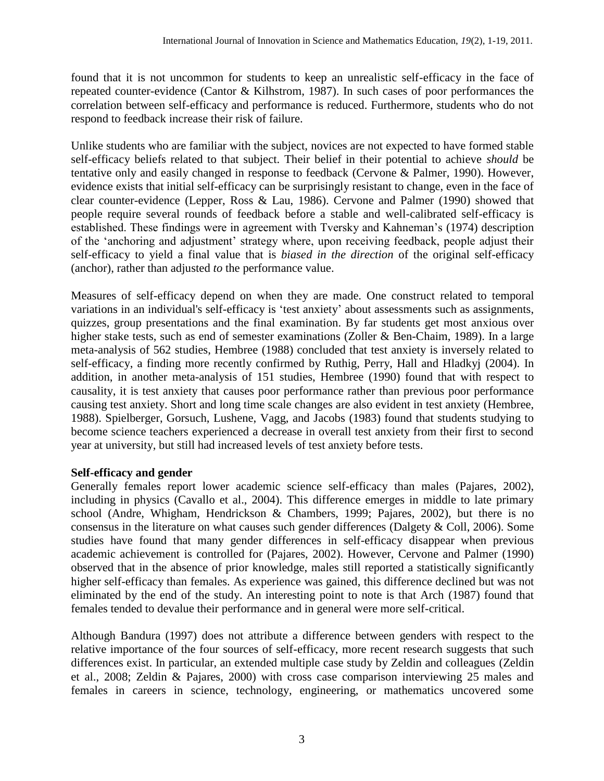found that it is not uncommon for students to keep an unrealistic self-efficacy in the face of repeated counter-evidence [\(Cantor & Kilhstrom, 1987\)](#page-16-13). In such cases of poor performances the correlation between self-efficacy and performance is reduced. Furthermore, students who do not respond to feedback increase their risk of failure.

Unlike students who are familiar with the subject, novices are not expected to have formed stable self-efficacy beliefs related to that subject. Their belief in their potential to achieve *should* be tentative only and easily changed in response to feedback [\(Cervone & Palmer, 1990\)](#page-16-12). However, evidence exists that initial self-efficacy can be surprisingly resistant to change, even in the face of clear counter-evidence [\(Lepper, Ross & Lau, 1986\)](#page-17-7). Cervone and Palmer [\(1990\)](#page-16-12) showed that people require several rounds of feedback before a stable and well-calibrated self-efficacy is established. These findings were in agreement with Tversky and Kahneman's [\(1974\)](#page-17-8) description of the 'anchoring and adjustment' strategy where, upon receiving feedback, people adjust their self-efficacy to yield a final value that is *biased in the direction* of the original self-efficacy (anchor), rather than adjusted *to* the performance value.

Measures of self-efficacy depend on when they are made. One construct related to temporal variations in an individual's self-efficacy is 'test anxiety' about assessments such as assignments, quizzes, group presentations and the final examination. By far students get most anxious over higher stake tests, such as end of semester examinations [\(Zoller & Ben-Chaim, 1989\)](#page-18-1). In a large meta-analysis of 562 studies, Hembree [\(1988\)](#page-16-14) concluded that test anxiety is inversely related to self-efficacy, a finding more recently confirmed by Ruthig, Perry, Hall and Hladkyj [\(2004\)](#page-17-9). In addition, in another meta-analysis of 151 studies, Hembree [\(1990\)](#page-16-15) found that with respect to causality, it is test anxiety that causes poor performance rather than previous poor performance causing test anxiety. Short and long time scale changes are also evident in test anxiety [\(Hembree,](#page-16-14)  [1988\)](#page-16-14). Spielberger, Gorsuch, Lushene, Vagg, and Jacobs [\(1983\)](#page-17-10) found that students studying to become science teachers experienced a decrease in overall test anxiety from their first to second year at university, but still had increased levels of test anxiety before tests.

# **Self-efficacy and gender**

Generally females report lower academic science self-efficacy than males [\(Pajares, 2002\)](#page-17-3), including in physics [\(Cavallo et al., 2004\)](#page-16-7). This difference emerges in middle to late primary school [\(Andre, Whigham, Hendrickson & Chambers, 1999;](#page-16-16) [Pajares, 2002\)](#page-17-3), but there is no consensus in the literature on what causes such gender differences [\(Dalgety & Coll, 2006\)](#page-16-3). Some studies have found that many gender differences in self-efficacy disappear when previous academic achievement is controlled for [\(Pajares, 2002\)](#page-17-3). However, Cervone and Palmer [\(1990\)](#page-16-12) observed that in the absence of prior knowledge, males still reported a statistically significantly higher self-efficacy than females. As experience was gained, this difference declined but was not eliminated by the end of the study. An interesting point to note is that Arch [\(1987\)](#page-16-17) found that females tended to devalue their performance and in general were more self-critical.

Although Bandura [\(1997\)](#page-16-10) does not attribute a difference between genders with respect to the relative importance of the four sources of self-efficacy, more recent research suggests that such differences exist. In particular, an extended multiple case study by Zeldin and colleagues [\(Zeldin](#page-18-0) [et al., 2008;](#page-18-0) [Zeldin & Pajares, 2000\)](#page-18-2) with cross case comparison interviewing 25 males and females in careers in science, technology, engineering, or mathematics uncovered some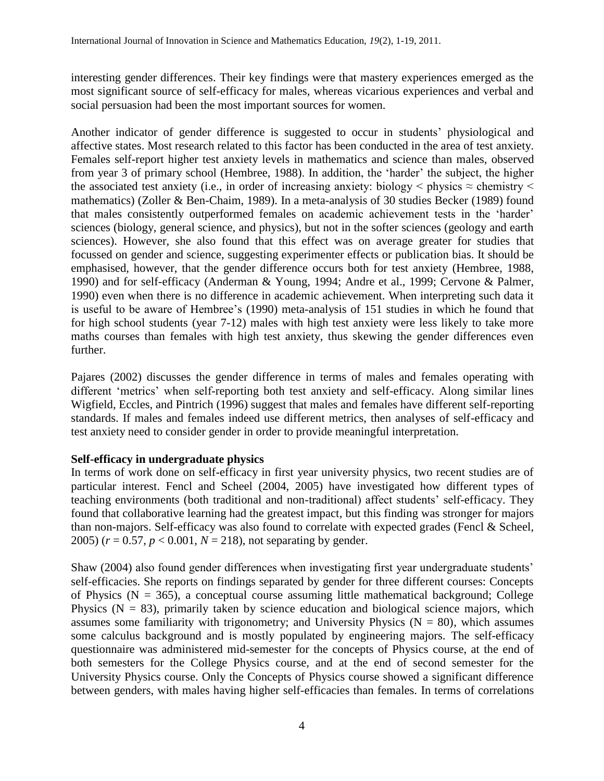interesting gender differences. Their key findings were that mastery experiences emerged as the most significant source of self-efficacy for males, whereas vicarious experiences and verbal and social persuasion had been the most important sources for women.

Another indicator of gender difference is suggested to occur in students' physiological and affective states. Most research related to this factor has been conducted in the area of test anxiety. Females self-report higher test anxiety levels in mathematics and science than males, observed from year 3 of primary school [\(Hembree, 1988\)](#page-16-14). In addition, the 'harder' the subject, the higher the associated test anxiety (i.e., in order of increasing anxiety: biology  $\leq$  physics  $\approx$  chemistry  $\leq$ mathematics) [\(Zoller & Ben-Chaim, 1989\)](#page-18-1). In a meta-analysis of 30 studies Becker [\(1989\)](#page-16-18) found that males consistently outperformed females on academic achievement tests in the 'harder' sciences (biology, general science, and physics), but not in the softer sciences (geology and earth sciences). However, she also found that this effect was on average greater for studies that focussed on gender and science, suggesting experimenter effects or publication bias. It should be emphasised, however, that the gender difference occurs both for test anxiety [\(Hembree, 1988,](#page-16-14) [1990\)](#page-16-15) and for self-efficacy [\(Anderman & Young, 1994;](#page-16-19) [Andre et al., 1999;](#page-16-16) [Cervone & Palmer,](#page-16-12)  [1990\)](#page-16-12) even when there is no difference in academic achievement. When interpreting such data it is useful to be aware of Hembree's [\(1990\)](#page-16-15) meta-analysis of 151 studies in which he found that for high school students (year 7-12) males with high test anxiety were less likely to take more maths courses than females with high test anxiety, thus skewing the gender differences even further.

Pajares [\(2002\)](#page-17-3) discusses the gender difference in terms of males and females operating with different 'metrics' when self-reporting both test anxiety and self-efficacy. Along similar lines Wigfield, Eccles, and Pintrich [\(1996\)](#page-17-11) suggest that males and females have different self-reporting standards. If males and females indeed use different metrics, then analyses of self-efficacy and test anxiety need to consider gender in order to provide meaningful interpretation.

## **Self-efficacy in undergraduate physics**

In terms of work done on self-efficacy in first year university physics, two recent studies are of particular interest. Fencl and Scheel [\(2004,](#page-16-5) [2005\)](#page-16-4) have investigated how different types of teaching environments (both traditional and non-traditional) affect students' self-efficacy. They found that collaborative learning had the greatest impact, but this finding was stronger for majors than non-majors. Self-efficacy was also found to correlate with expected grades [\(Fencl & Scheel,](#page-16-4)  [2005\)](#page-16-4) (*r* = 0.57, *p* < 0.001, *N* = 218), not separating by gender.

Shaw [\(2004\)](#page-17-1) also found gender differences when investigating first year undergraduate students' self-efficacies. She reports on findings separated by gender for three different courses: Concepts of Physics ( $N = 365$ ), a conceptual course assuming little mathematical background; College Physics ( $N = 83$ ), primarily taken by science education and biological science majors, which assumes some familiarity with trigonometry; and University Physics ( $N = 80$ ), which assumes some calculus background and is mostly populated by engineering majors. The self-efficacy questionnaire was administered mid-semester for the concepts of Physics course, at the end of both semesters for the College Physics course, and at the end of second semester for the University Physics course. Only the Concepts of Physics course showed a significant difference between genders, with males having higher self-efficacies than females. In terms of correlations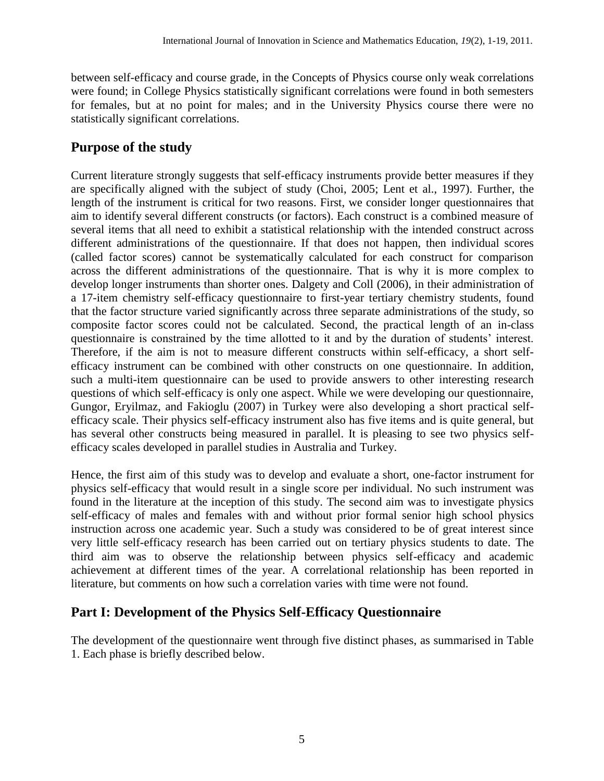between self-efficacy and course grade, in the Concepts of Physics course only weak correlations were found; in College Physics statistically significant correlations were found in both semesters for females, but at no point for males; and in the University Physics course there were no statistically significant correlations.

# **Purpose of the study**

Current literature strongly suggests that self-efficacy instruments provide better measures if they are specifically aligned with the subject of study [\(Choi, 2005;](#page-16-9) [Lent et al., 1997\)](#page-17-4). Further, the length of the instrument is critical for two reasons. First, we consider longer questionnaires that aim to identify several different constructs (or factors). Each construct is a combined measure of several items that all need to exhibit a statistical relationship with the intended construct across different administrations of the questionnaire. If that does not happen, then individual scores (called factor scores) cannot be systematically calculated for each construct for comparison across the different administrations of the questionnaire. That is why it is more complex to develop longer instruments than shorter ones. Dalgety and Coll [\(2006\)](#page-16-3), in their administration of a 17-item chemistry self-efficacy questionnaire to first-year tertiary chemistry students, found that the factor structure varied significantly across three separate administrations of the study, so composite factor scores could not be calculated. Second, the practical length of an in-class questionnaire is constrained by the time allotted to it and by the duration of students' interest. Therefore, if the aim is not to measure different constructs within self-efficacy, a short selfefficacy instrument can be combined with other constructs on one questionnaire. In addition, such a multi-item questionnaire can be used to provide answers to other interesting research questions of which self-efficacy is only one aspect. While we were developing our questionnaire, Gungor, Eryilmaz, and Fakioglu [\(2007\)](#page-16-6) in Turkey were also developing a short practical selfefficacy scale. Their physics self-efficacy instrument also has five items and is quite general, but has several other constructs being measured in parallel. It is pleasing to see two physics selfefficacy scales developed in parallel studies in Australia and Turkey.

Hence, the first aim of this study was to develop and evaluate a short, one-factor instrument for physics self-efficacy that would result in a single score per individual. No such instrument was found in the literature at the inception of this study. The second aim was to investigate physics self-efficacy of males and females with and without prior formal senior high school physics instruction across one academic year. Such a study was considered to be of great interest since very little self-efficacy research has been carried out on tertiary physics students to date. The third aim was to observe the relationship between physics self-efficacy and academic achievement at different times of the year. A correlational relationship has been reported in literature, but comments on how such a correlation varies with time were not found.

# **Part I: Development of the Physics Self-Efficacy Questionnaire**

The development of the questionnaire went through five distinct phases, as summarised in Table 1. Each phase is briefly described below.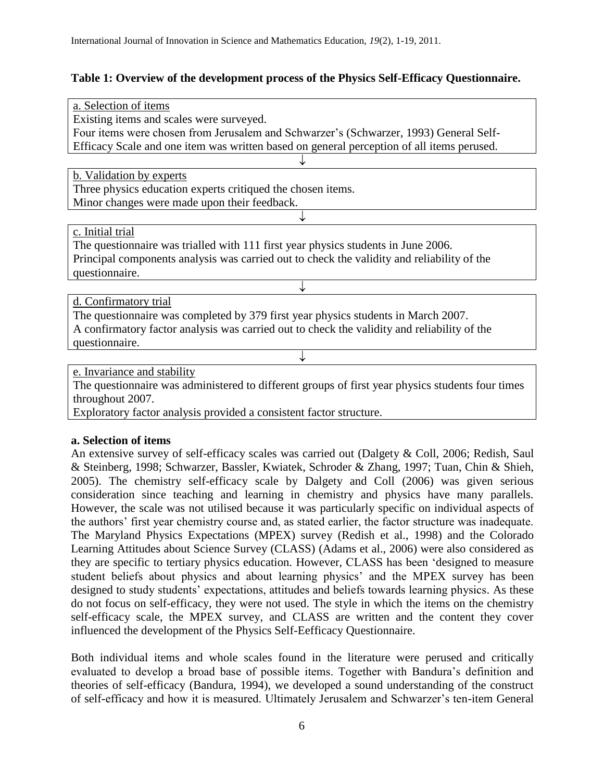## **Table 1: Overview of the development process of the Physics Self-Efficacy Questionnaire.**

| a. Selection of items                                                                            |  |  |  |  |  |  |  |  |
|--------------------------------------------------------------------------------------------------|--|--|--|--|--|--|--|--|
| Existing items and scales were surveyed.                                                         |  |  |  |  |  |  |  |  |
| Four items were chosen from Jerusalem and Schwarzer's (Schwarzer, 1993) General Self-            |  |  |  |  |  |  |  |  |
| Efficacy Scale and one item was written based on general perception of all items perused.        |  |  |  |  |  |  |  |  |
|                                                                                                  |  |  |  |  |  |  |  |  |
| b. Validation by experts                                                                         |  |  |  |  |  |  |  |  |
| Three physics education experts critiqued the chosen items.                                      |  |  |  |  |  |  |  |  |
| Minor changes were made upon their feedback.                                                     |  |  |  |  |  |  |  |  |
|                                                                                                  |  |  |  |  |  |  |  |  |
| c. Initial trial                                                                                 |  |  |  |  |  |  |  |  |
| The questionnaire was trialled with 111 first year physics students in June 2006.                |  |  |  |  |  |  |  |  |
| Principal components analysis was carried out to check the validity and reliability of the       |  |  |  |  |  |  |  |  |
| questionnaire.                                                                                   |  |  |  |  |  |  |  |  |
|                                                                                                  |  |  |  |  |  |  |  |  |
| d. Confirmatory trial                                                                            |  |  |  |  |  |  |  |  |
| The questionnaire was completed by 379 first year physics students in March 2007.                |  |  |  |  |  |  |  |  |
| A confirmatory factor analysis was carried out to check the validity and reliability of the      |  |  |  |  |  |  |  |  |
| questionnaire.                                                                                   |  |  |  |  |  |  |  |  |
|                                                                                                  |  |  |  |  |  |  |  |  |
| e. Invariance and stability                                                                      |  |  |  |  |  |  |  |  |
| The questionnaire was administered to different groups of first year physics students four times |  |  |  |  |  |  |  |  |

The questionnaire was administered to different groups of first year physics students four times throughout 2007.

Exploratory factor analysis provided a consistent factor structure.

## **a. Selection of items**

An extensive survey of self-efficacy scales was carried out [\(Dalgety & Coll, 2006;](#page-16-3) [Redish, Saul](#page-17-13)  [& Steinberg, 1998;](#page-17-13) [Schwarzer, Bassler, Kwiatek, Schroder & Zhang, 1997;](#page-17-14) [Tuan, Chin & Shieh,](#page-17-15)  [2005\)](#page-17-15). The chemistry self-efficacy scale by Dalgety and Coll [\(2006\)](#page-16-3) was given serious consideration since teaching and learning in chemistry and physics have many parallels. However, the scale was not utilised because it was particularly specific on individual aspects of the authors' first year chemistry course and, as stated earlier, the factor structure was inadequate. The Maryland Physics Expectations (MPEX) survey [\(Redish et al., 1998\)](#page-17-13) and the Colorado Learning Attitudes about Science Survey (CLASS) [\(Adams et al., 2006\)](#page-16-20) were also considered as they are specific to tertiary physics education. However, CLASS has been 'designed to measure student beliefs about physics and about learning physics' and the MPEX survey has been designed to study students' expectations, attitudes and beliefs towards learning physics. As these do not focus on self-efficacy, they were not used. The style in which the items on the chemistry self-efficacy scale, the MPEX survey, and CLASS are written and the content they cover influenced the development of the Physics Self-Eefficacy Questionnaire.

Both individual items and whole scales found in the literature were perused and critically evaluated to develop a broad base of possible items. Together with Bandura's definition and theories of self-efficacy [\(Bandura, 1994\)](#page-16-0), we developed a sound understanding of the construct of self-efficacy and how it is measured. Ultimately Jerusalem and Schwarzer's ten-item General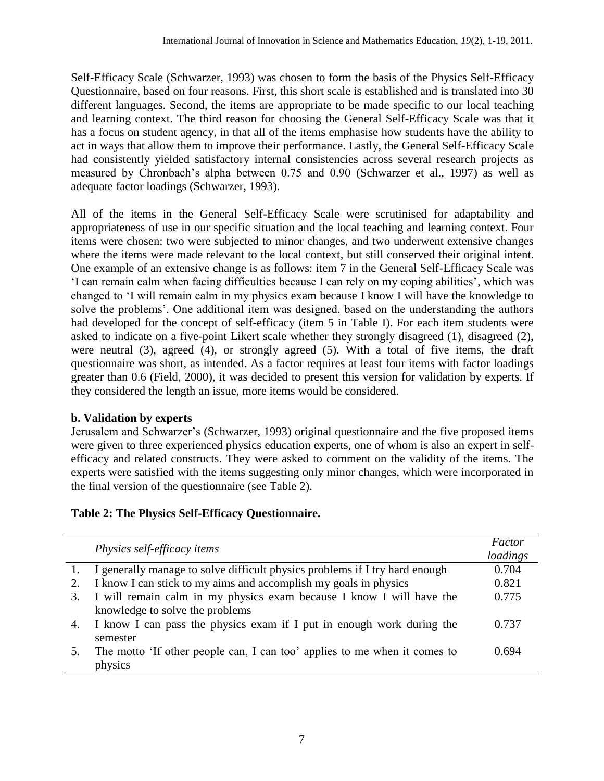Self-Efficacy Scale [\(Schwarzer, 1993\)](#page-17-12) was chosen to form the basis of the Physics Self-Efficacy Questionnaire, based on four reasons. First, this short scale is established and is translated into 30 different languages. Second, the items are appropriate to be made specific to our local teaching and learning context. The third reason for choosing the General Self-Efficacy Scale was that it has a focus on student agency, in that all of the items emphasise how students have the ability to act in ways that allow them to improve their performance. Lastly, the General Self-Efficacy Scale had consistently yielded satisfactory internal consistencies across several research projects as measured by Chronbach's alpha between 0.75 and 0.90 [\(Schwarzer et al., 1997\)](#page-17-14) as well as adequate factor loadings [\(Schwarzer, 1993\)](#page-17-12).

All of the items in the General Self-Efficacy Scale were scrutinised for adaptability and appropriateness of use in our specific situation and the local teaching and learning context. Four items were chosen: two were subjected to minor changes, and two underwent extensive changes where the items were made relevant to the local context, but still conserved their original intent. One example of an extensive change is as follows: item 7 in the General Self-Efficacy Scale was 'I can remain calm when facing difficulties because I can rely on my coping abilities', which was changed to 'I will remain calm in my physics exam because I know I will have the knowledge to solve the problems'. One additional item was designed, based on the understanding the authors had developed for the concept of self-efficacy (item 5 in Table I). For each item students were asked to indicate on a five-point Likert scale whether they strongly disagreed (1), disagreed (2), were neutral (3), agreed (4), or strongly agreed (5). With a total of five items, the draft questionnaire was short, as intended. As a factor requires at least four items with factor loadings greater than 0.6 [\(Field, 2000\)](#page-16-21), it was decided to present this version for validation by experts. If they considered the length an issue, more items would be considered.

# **b. Validation by experts**

Jerusalem and Schwarzer's [\(Schwarzer, 1993\)](#page-17-12) original questionnaire and the five proposed items were given to three experienced physics education experts, one of whom is also an expert in selfefficacy and related constructs. They were asked to comment on the validity of the items. The experts were satisfied with the items suggesting only minor changes, which were incorporated in the final version of the questionnaire (see Table 2).

# **Table 2: The Physics Self-Efficacy Questionnaire.**

|    | <i>Physics self-efficacy items</i>                                          |                   |  |  |
|----|-----------------------------------------------------------------------------|-------------------|--|--|
|    | I generally manage to solve difficult physics problems if I try hard enough | loadings<br>0.704 |  |  |
|    | I know I can stick to my aims and accomplish my goals in physics            | 0.821             |  |  |
| 3. | I will remain calm in my physics exam because I know I will have the        | 0.775             |  |  |
|    | knowledge to solve the problems                                             |                   |  |  |
|    | 4. I know I can pass the physics exam if I put in enough work during the    | 0.737             |  |  |
|    | semester                                                                    |                   |  |  |
|    | The motto 'If other people can, I can too' applies to me when it comes to   | 0.694             |  |  |
|    | physics                                                                     |                   |  |  |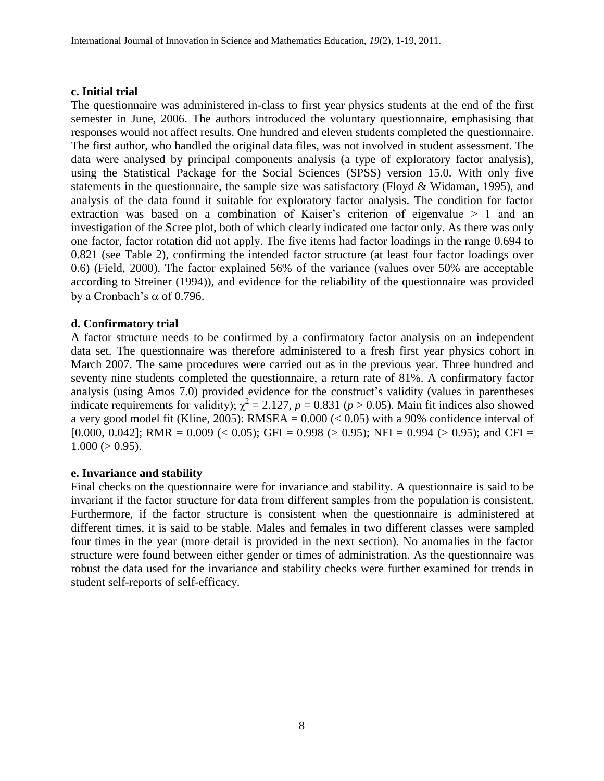#### **c. Initial trial**

The questionnaire was administered in-class to first year physics students at the end of the first semester in June, 2006. The authors introduced the voluntary questionnaire, emphasising that responses would not affect results. One hundred and eleven students completed the questionnaire. The first author, who handled the original data files, was not involved in student assessment. The data were analysed by principal components analysis (a type of exploratory factor analysis), using the Statistical Package for the Social Sciences (SPSS) version 15.0. With only five statements in the questionnaire, the sample size was satisfactory [\(Floyd & Widaman, 1995\)](#page-16-22), and analysis of the data found it suitable for exploratory factor analysis. The condition for factor extraction was based on a combination of Kaiser's criterion of eigenvalue > 1 and an investigation of the Scree plot, both of which clearly indicated one factor only. As there was only one factor, factor rotation did not apply. The five items had factor loadings in the range 0.694 to 0.821 (see Table 2), confirming the intended factor structure (at least four factor loadings over 0.6) [\(Field, 2000\)](#page-16-21). The factor explained 56% of the variance (values over 50% are acceptable according to Streiner [\(1994\)](#page-17-16)), and evidence for the reliability of the questionnaire was provided by a Cronbach's  $\alpha$  of 0.796.

#### **d. Confirmatory trial**

A factor structure needs to be confirmed by a confirmatory factor analysis on an independent data set. The questionnaire was therefore administered to a fresh first year physics cohort in March 2007. The same procedures were carried out as in the previous year. Three hundred and seventy nine students completed the questionnaire, a return rate of 81%. A confirmatory factor analysis (using Amos 7.0) provided evidence for the construct's validity (values in parentheses indicate requirements for validity);  $\chi^2 = 2.127$ ,  $p = 0.831$  ( $p > 0.05$ ). Main fit indices also showed a very good model fit [\(Kline, 2005\)](#page-16-23): RMSEA =  $0.000 \le 0.05$ ) with a 90% confidence interval of [0.000, 0.042]; RMR = 0.009 (< 0.05); GFI = 0.998 (> 0.95); NFI = 0.994 (> 0.95); and CFI =  $1.000 (> 0.95)$ .

#### **e. Invariance and stability**

Final checks on the questionnaire were for invariance and stability. A questionnaire is said to be invariant if the factor structure for data from different samples from the population is consistent. Furthermore, if the factor structure is consistent when the questionnaire is administered at different times, it is said to be stable. Males and females in two different classes were sampled four times in the year (more detail is provided in the next section). No anomalies in the factor structure were found between either gender or times of administration. As the questionnaire was robust the data used for the invariance and stability checks were further examined for trends in student self-reports of self-efficacy.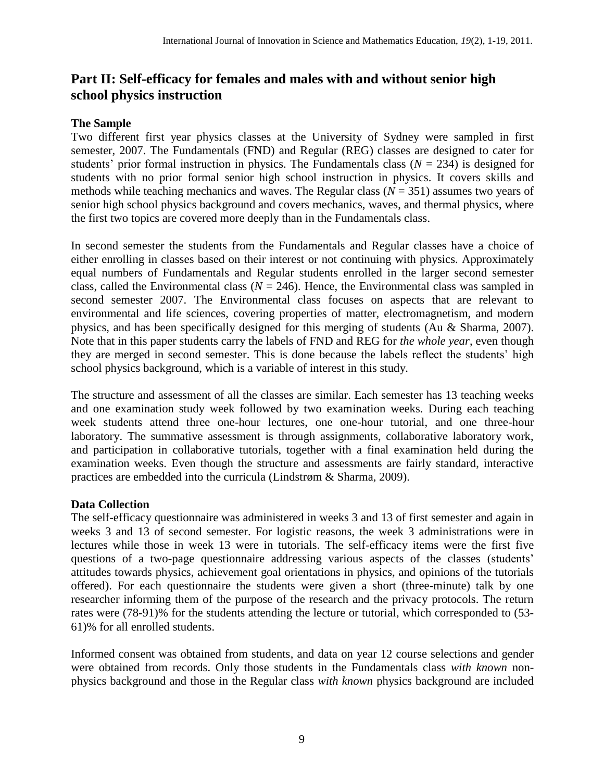# **Part II: Self-efficacy for females and males with and without senior high school physics instruction**

# **The Sample**

Two different first year physics classes at the University of Sydney were sampled in first semester, 2007. The Fundamentals (FND) and Regular (REG) classes are designed to cater for students' prior formal instruction in physics. The Fundamentals class  $(N = 234)$  is designed for students with no prior formal senior high school instruction in physics. It covers skills and methods while teaching mechanics and waves. The Regular class (*N* = 351) assumes two years of senior high school physics background and covers mechanics, waves, and thermal physics, where the first two topics are covered more deeply than in the Fundamentals class.

In second semester the students from the Fundamentals and Regular classes have a choice of either enrolling in classes based on their interest or not continuing with physics. Approximately equal numbers of Fundamentals and Regular students enrolled in the larger second semester class, called the Environmental class ( $N = 246$ ). Hence, the Environmental class was sampled in second semester 2007. The Environmental class focuses on aspects that are relevant to environmental and life sciences, covering properties of matter, electromagnetism, and modern physics, and has been specifically designed for this merging of students [\(Au & Sharma, 2007\)](#page-16-24). Note that in this paper students carry the labels of FND and REG for *the whole year*, even though they are merged in second semester. This is done because the labels reflect the students' high school physics background, which is a variable of interest in this study.

The structure and assessment of all the classes are similar. Each semester has 13 teaching weeks and one examination study week followed by two examination weeks. During each teaching week students attend three one-hour lectures, one one-hour tutorial, and one three-hour laboratory. The summative assessment is through assignments, collaborative laboratory work, and participation in collaborative tutorials, together with a final examination held during the examination weeks. Even though the structure and assessments are fairly standard, interactive practices are embedded into the curricula [\(Lindstrøm & Sharma, 2009\)](#page-17-17).

# **Data Collection**

The self-efficacy questionnaire was administered in weeks 3 and 13 of first semester and again in weeks 3 and 13 of second semester. For logistic reasons, the week 3 administrations were in lectures while those in week 13 were in tutorials. The self-efficacy items were the first five questions of a two-page questionnaire addressing various aspects of the classes (students' attitudes towards physics, achievement goal orientations in physics, and opinions of the tutorials offered). For each questionnaire the students were given a short (three-minute) talk by one researcher informing them of the purpose of the research and the privacy protocols. The return rates were (78-91)% for the students attending the lecture or tutorial, which corresponded to (53- 61)% for all enrolled students.

Informed consent was obtained from students, and data on year 12 course selections and gender were obtained from records. Only those students in the Fundamentals class *with known* nonphysics background and those in the Regular class *with known* physics background are included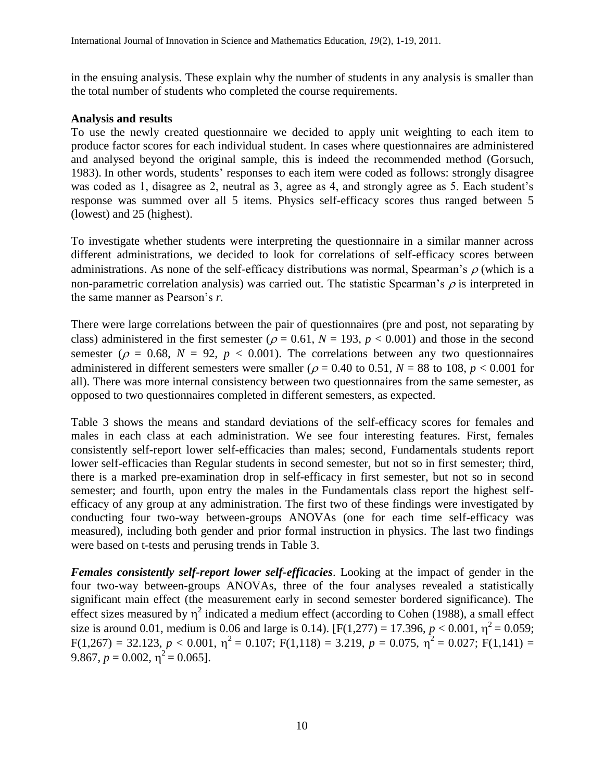in the ensuing analysis. These explain why the number of students in any analysis is smaller than the total number of students who completed the course requirements.

#### **Analysis and results**

To use the newly created questionnaire we decided to apply unit weighting to each item to produce factor scores for each individual student. In cases where questionnaires are administered and analysed beyond the original sample, this is indeed the recommended method [\(Gorsuch,](#page-16-25)  [1983\)](#page-16-25). In other words, students' responses to each item were coded as follows: strongly disagree was coded as 1, disagree as 2, neutral as 3, agree as 4, and strongly agree as 5. Each student's response was summed over all 5 items. Physics self-efficacy scores thus ranged between 5 (lowest) and 25 (highest).

To investigate whether students were interpreting the questionnaire in a similar manner across different administrations, we decided to look for correlations of self-efficacy scores between administrations. As none of the self-efficacy distributions was normal, Spearman's  $\rho$  (which is a non-parametric correlation analysis) was carried out. The statistic Spearman's  $\rho$  is interpreted in the same manner as Pearson's *r.*

There were large correlations between the pair of questionnaires (pre and post, not separating by class) administered in the first semester ( $\rho = 0.61$ ,  $N = 193$ ,  $p < 0.001$ ) and those in the second semester ( $\rho = 0.68$ ,  $N = 92$ ,  $p < 0.001$ ). The correlations between any two questionnaires administered in different semesters were smaller ( $\rho = 0.40$  to 0.51,  $N = 88$  to 108,  $p < 0.001$  for all). There was more internal consistency between two questionnaires from the same semester, as opposed to two questionnaires completed in different semesters, as expected.

Table 3 shows the means and standard deviations of the self-efficacy scores for females and males in each class at each administration. We see four interesting features. First, females consistently self-report lower self-efficacies than males; second, Fundamentals students report lower self-efficacies than Regular students in second semester, but not so in first semester; third, there is a marked pre-examination drop in self-efficacy in first semester, but not so in second semester; and fourth, upon entry the males in the Fundamentals class report the highest selfefficacy of any group at any administration. The first two of these findings were investigated by conducting four two-way between-groups ANOVAs (one for each time self-efficacy was measured), including both gender and prior formal instruction in physics. The last two findings were based on t-tests and perusing trends in Table 3.

*Females consistently self-report lower self-efficacies*. Looking at the impact of gender in the four two-way between-groups ANOVAs, three of the four analyses revealed a statistically significant main effect (the measurement early in second semester bordered significance). The effect sizes measured by  $\eta^2$  indicated a medium effect (according to Cohen [\(1988\)](#page-16-26), a small effect size is around 0.01, medium is 0.06 and large is 0.14). [F(1,277) = 17.396,  $p < 0.001$ ,  $\eta^2 = 0.059$ ;  $F(1,267) = 32.123, p < 0.001, \eta^2 = 0.107; F(1,118) = 3.219, p = 0.075, \eta^2 = 0.027; F(1,141) =$ 9.867,  $p = 0.002$ ,  $\eta^2 = 0.065$ ].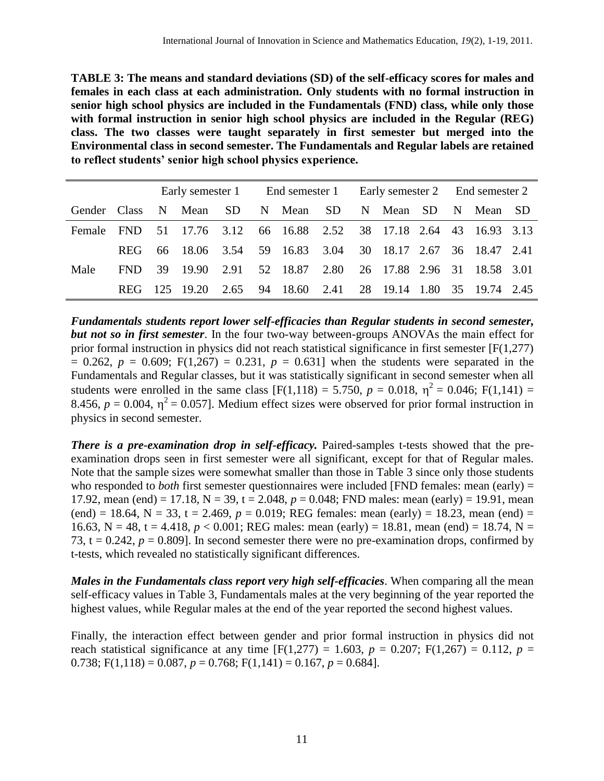**TABLE 3: The means and standard deviations (SD) of the self-efficacy scores for males and females in each class at each administration. Only students with no formal instruction in senior high school physics are included in the Fundamentals (FND) class, while only those with formal instruction in senior high school physics are included in the Regular (REG) class. The two classes were taught separately in first semester but merged into the Environmental class in second semester. The Fundamentals and Regular labels are retained to reflect students' senior high school physics experience.** 

|                |            |      |       |      | Early semester 1 End semester 1 Early semester 2 End semester 2 |                                                         |  |  |           |  |   |                             |  |
|----------------|------------|------|-------|------|-----------------------------------------------------------------|---------------------------------------------------------|--|--|-----------|--|---|-----------------------------|--|
| Gender Class N |            |      |       |      |                                                                 | Mean SD N Mean SD                                       |  |  | N Mean SD |  | N | Mean SD                     |  |
| Female FND     |            |      |       |      |                                                                 | 51 17.76 3.12 66 16.88 2.52 38 17.18 2.64 43 16.93 3.13 |  |  |           |  |   |                             |  |
|                | <b>REG</b> |      |       |      |                                                                 | 66 18.06 3.54 59 16.83 3.04 30 18.17 2.67 36 18.47 2.41 |  |  |           |  |   |                             |  |
| Male           | FND.       | 39   | 19.90 |      |                                                                 | 2.91 52 18.87 2.80 26 17.88 2.96 31 18.58 3.01          |  |  |           |  |   |                             |  |
|                | <b>REG</b> | -125 | 19.20 | 2.65 |                                                                 | 94 18.60 2.41                                           |  |  |           |  |   | 28 19.14 1.80 35 19.74 2.45 |  |

*Fundamentals students report lower self-efficacies than Regular students in second semester, but not so in first semester*. In the four two-way between-groups ANOVAs the main effect for prior formal instruction in physics did not reach statistical significance in first semester [F(1,277)  $= 0.262$ ,  $p = 0.609$ ;  $F(1,267) = 0.231$ ,  $p = 0.631$ ] when the students were separated in the Fundamentals and Regular classes, but it was statistically significant in second semester when all students were enrolled in the same class  $[F(1,118) = 5.750, p = 0.018, \eta^2 = 0.046; F(1,141) =$ 8.456,  $p = 0.004$ ,  $\eta^2 = 0.057$ . Medium effect sizes were observed for prior formal instruction in physics in second semester.

*There is a pre-examination drop in self-efficacy.* Paired-samples t-tests showed that the preexamination drops seen in first semester were all significant, except for that of Regular males. Note that the sample sizes were somewhat smaller than those in Table 3 since only those students who responded to *both* first semester questionnaires were included [FND females: mean (early) = 17.92, mean (end) = 17.18,  $N = 39$ ,  $t = 2.048$ ,  $p = 0.048$ ; FND males: mean (early) = 19.91, mean (end) = 18.64, N = 33, t = 2.469,  $p = 0.019$ ; REG females: mean (early) = 18.23, mean (end) = 16.63, N = 48, t = 4.418,  $p < 0.001$ ; REG males: mean (early) = 18.81, mean (end) = 18.74, N = 73,  $t = 0.242$ ,  $p = 0.809$ ]. In second semester there were no pre-examination drops, confirmed by t-tests, which revealed no statistically significant differences.

*Males in the Fundamentals class report very high self-efficacies*. When comparing all the mean self-efficacy values in Table 3, Fundamentals males at the very beginning of the year reported the highest values, while Regular males at the end of the year reported the second highest values.

Finally, the [interaction](x-msg:/--1478-??) effect between gender and prior formal instruction in physics did not reach statistical significance at any [time](x-msg:/--1478-??)  $[F(1,277) = 1.603, p = 0.207; F(1,267) = 0.112, p =$ 0.738;  $F(1,118) = 0.087$ ,  $p = 0.768$ ;  $F(1,141) = 0.167$ ,  $p = 0.684$ ].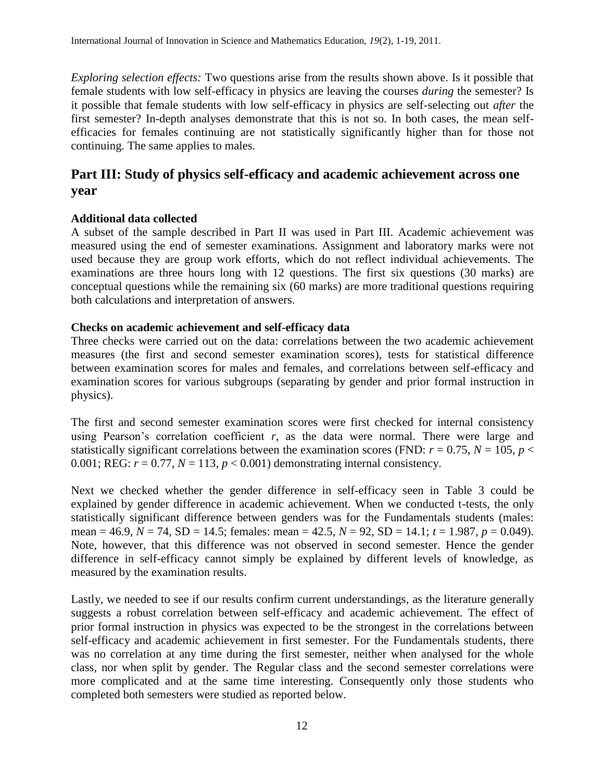*Exploring selection effects:* Two questions arise from the results shown above. Is it possible that female students with low self-efficacy in physics are leaving the courses *during* the semester? Is it possible that female students with low self-efficacy in physics are self-selecting out *after* the first semester? In-depth analyses demonstrate that this is not so. In both cases, the mean selfefficacies for females continuing are not statistically significantly higher than for those not continuing. The same applies to males.

# **Part III: Study of physics self-efficacy and academic achievement across one year**

## **Additional data collected**

A subset of the sample described in Part II was used in Part III. Academic achievement was measured using the end of semester examinations. Assignment and laboratory marks were not used because they are group work efforts, which do not reflect individual achievements. The examinations are three hours long with 12 questions. The first six questions (30 marks) are conceptual questions while the remaining six (60 marks) are more traditional questions requiring both calculations and interpretation of answers.

## **Checks on academic achievement and self-efficacy data**

Three checks were carried out on the data: correlations between the two academic achievement measures (the first and second semester examination scores), tests for statistical difference between examination scores for males and females, and correlations between self-efficacy and examination scores for various subgroups (separating by gender and prior formal instruction in physics).

The first and second semester examination scores were first checked for internal consistency using Pearson's correlation coefficient *r*, as the data were normal. There were large and statistically significant correlations between the examination scores (FND:  $r = 0.75$ ,  $N = 105$ ,  $p <$ 0.001; REG:  $r = 0.77$ ,  $N = 113$ ,  $p < 0.001$ ) demonstrating internal consistency.

Next we checked whether the gender difference in self-efficacy seen in Table 3 could be explained by gender difference in academic achievement. When we conducted t-tests, the only statistically significant difference between genders was for the Fundamentals students (males: mean = 46.9, *N* = 74, SD = 14.5; females: mean = 42.5, *N* = 92, SD = 14.1; *t* = 1.987, *p* = 0.049). Note, however, that this difference was not observed in second semester. Hence the gender difference in self-efficacy cannot simply be explained by different levels of knowledge, as measured by the examination results.

Lastly, we needed to see if our results confirm current understandings, as the literature generally suggests a robust correlation between self-efficacy and academic achievement. The effect of prior formal instruction in physics was expected to be the strongest in the correlations between self-efficacy and academic achievement in first semester. For the Fundamentals students, there was no correlation at any time during the first semester, neither when analysed for the whole class, nor when split by gender. The Regular class and the second semester correlations were more complicated and at the same time interesting. Consequently only those students who completed both semesters were studied as reported below.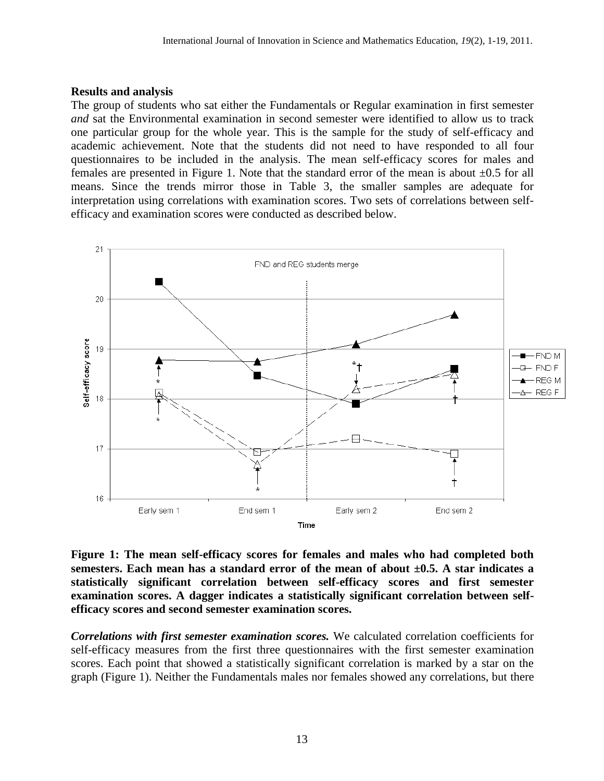#### **Results and analysis**

The group of students who sat either the Fundamentals or Regular examination in first semester *and* sat the Environmental examination in second semester were identified to allow us to track one particular group for the whole year. This is the sample for the study of self-efficacy and academic achievement. Note that the students did not need to have responded to all four questionnaires to be included in the analysis. The mean self-efficacy scores for males and females are presented in Figure 1. Note that the standard error of the mean is about  $\pm 0.5$  for all means. Since the trends mirror those in Table 3, the smaller samples are adequate for interpretation using correlations with examination scores. Two sets of correlations between selfefficacy and examination scores were conducted as described below.



**Figure 1: The mean self-efficacy scores for females and males who had completed both semesters. Each mean has a standard error of the mean of about ±0.5. A star indicates a statistically significant correlation between self-efficacy scores and first semester examination scores. A dagger indicates a statistically significant correlation between selfefficacy scores and second semester examination scores.**

*Correlations with first semester examination scores.* We calculated correlation coefficients for self-efficacy measures from the first three questionnaires with the first semester examination scores. Each point that showed a statistically significant correlation is marked by a star on the graph (Figure 1). Neither the Fundamentals males nor females showed any correlations, but there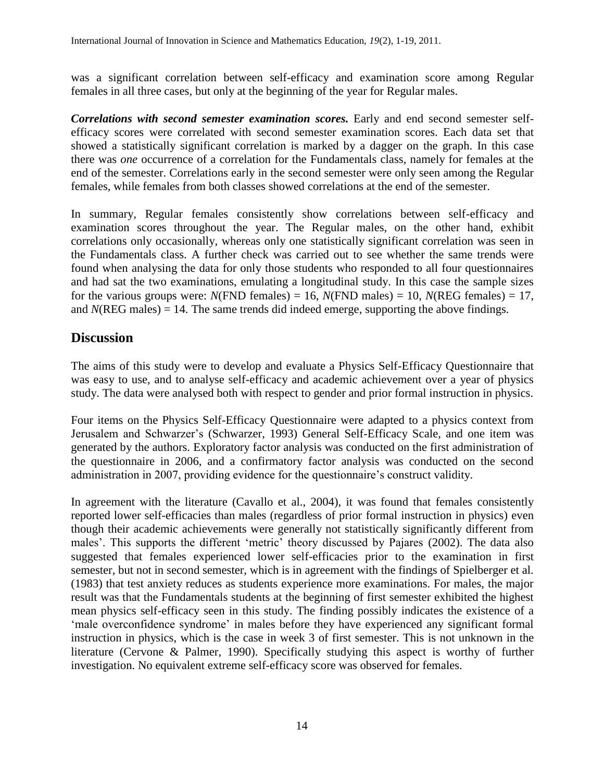was a significant correlation between self-efficacy and examination score among Regular females in all three cases, but only at the beginning of the year for Regular males.

*Correlations with second semester examination scores.* Early and end second semester selfefficacy scores were correlated with second semester examination scores. Each data set that showed a statistically significant correlation is marked by a dagger on the graph. In this case there was *one* occurrence of a correlation for the Fundamentals class, namely for females at the end of the semester. Correlations early in the second semester were only seen among the Regular females, while females from both classes showed correlations at the end of the semester.

In summary, Regular females consistently show correlations between self-efficacy and examination scores throughout the year. The Regular males, on the other hand, exhibit correlations only occasionally, whereas only one statistically significant correlation was seen in the Fundamentals class. A further check was carried out to see whether the same trends were found when analysing the data for only those students who responded to all four questionnaires and had sat the two examinations, emulating a longitudinal study. In this case the sample sizes for the various groups were:  $N(FND \text{ females}) = 16$ ,  $N(FND \text{ males}) = 10$ ,  $N(REG \text{ females}) = 17$ , and  $N(REG \, males) = 14$ . The same trends did indeed emerge, supporting the above findings.

# **Discussion**

The aims of this study were to develop and evaluate a Physics Self-Efficacy Questionnaire that was easy to use, and to analyse self-efficacy and academic achievement over a year of physics study. The data were analysed both with respect to gender and prior formal instruction in physics.

Four items on the Physics Self-Efficacy Questionnaire were adapted to a physics context from Jerusalem and Schwarzer's [\(Schwarzer, 1993\)](#page-17-12) General Self-Efficacy Scale, and one item was generated by the authors. Exploratory factor analysis was conducted on the first administration of the questionnaire in 2006, and a confirmatory factor analysis was conducted on the second administration in 2007, providing evidence for the questionnaire's construct validity.

In agreement with the literature [\(Cavallo et al., 2004\)](#page-16-7), it was found that females consistently reported lower self-efficacies than males (regardless of prior formal instruction in physics) even though their academic achievements were generally not statistically significantly different from males'. This supports the different 'metric' theory discussed by Pajares [\(2002\)](#page-17-3). The data also suggested that females experienced lower self-efficacies prior to the examination in first semester, but not in second semester, which is in agreement with the findings of Spielberger et al. [\(1983\)](#page-17-10) that test anxiety reduces as students experience more examinations. For males, the major result was that the Fundamentals students at the beginning of first semester exhibited the highest mean physics self-efficacy seen in this study. The finding possibly indicates the existence of a 'male overconfidence syndrome' in males before they have experienced any significant formal instruction in physics, which is the case in week 3 of first semester. This is not unknown in the literature [\(Cervone & Palmer, 1990\)](#page-16-12). Specifically studying this aspect is worthy of further investigation. No equivalent extreme self-efficacy score was observed for females.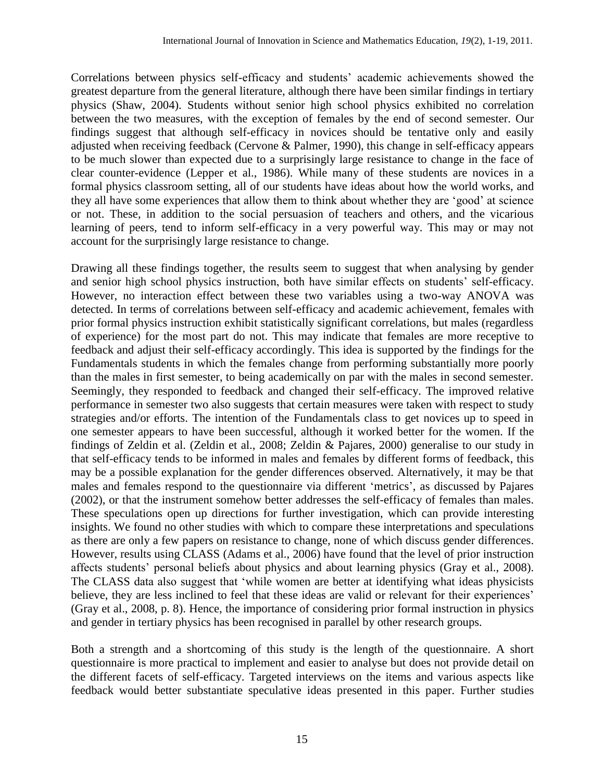Correlations between physics self-efficacy and students' academic achievements showed the greatest departure from the general literature, although there have been similar findings in tertiary physics [\(Shaw, 2004\)](#page-17-1). Students without senior high school physics exhibited no correlation between the two measures, with the exception of females by the end of second semester. Our findings suggest that although self-efficacy in novices should be tentative only and easily adjusted when receiving feedback [\(Cervone & Palmer, 1990\)](#page-16-12), this change in self-efficacy appears to be much slower than expected due to a surprisingly large resistance to change in the face of clear counter-evidence [\(Lepper et al., 1986\)](#page-17-7). While many of these students are novices in a formal physics classroom setting, all of our students have ideas about how the world works, and they all have some experiences that allow them to think about whether they are 'good' at science or not. These, in addition to the social persuasion of teachers and others, and the vicarious learning of peers, tend to inform self-efficacy in a very powerful way. This may or may not account for the surprisingly large resistance to change.

Drawing all these findings together, the results seem to suggest that when analysing by gender and senior high school physics instruction, both have similar effects on students' self-efficacy. However, no interaction effect between these two variables using a two-way ANOVA was detected. In terms of correlations between self-efficacy and academic achievement, females with prior formal physics instruction exhibit statistically significant correlations, but males (regardless of experience) for the most part do not. This may indicate that females are more receptive to feedback and adjust their self-efficacy accordingly. This idea is supported by the findings for the Fundamentals students in which the females change from performing substantially more poorly than the males in first semester, to being academically on par with the males in second semester. Seemingly, they responded to feedback and changed their self-efficacy. The improved relative performance in semester two also suggests that certain measures were taken with respect to study strategies and/or efforts. The intention of the Fundamentals class to get novices up to speed in one semester appears to have been successful, although it worked better for the women. If the findings of Zeldin et al. [\(Zeldin et al., 2008;](#page-18-0) [Zeldin & Pajares, 2000\)](#page-18-2) generalise to our study in that self-efficacy tends to be informed in males and females by different forms of feedback, this may be a possible explanation for the gender differences observed. Alternatively, it may be that males and females respond to the questionnaire via different 'metrics', as discussed by Pajares [\(2002\)](#page-17-3), or that the instrument somehow better addresses the self-efficacy of females than males. These speculations open up directions for further investigation, which can provide interesting insights. We found no other studies with which to compare these interpretations and speculations as there are only a few papers on resistance to change, none of which discuss gender differences. However, results using CLASS [\(Adams et al., 2006\)](#page-16-20) have found that the level of prior instruction affects students' personal beliefs about physics and about learning physics [\(Gray et al., 2008\)](#page-16-2). The CLASS data also suggest that 'while women are better at identifying what ideas physicists believe, they are less inclined to feel that these ideas are valid or relevant for their experiences' [\(Gray et al., 2008, p. 8\)](#page-16-2). Hence, the importance of considering prior formal instruction in physics and gender in tertiary physics has been recognised in parallel by other research groups.

Both a strength and a shortcoming of this study is the length of the questionnaire. A short questionnaire is more practical to implement and easier to analyse but does not provide detail on the different facets of self-efficacy. Targeted interviews on the items and various aspects like feedback would better substantiate speculative ideas presented in this paper. Further studies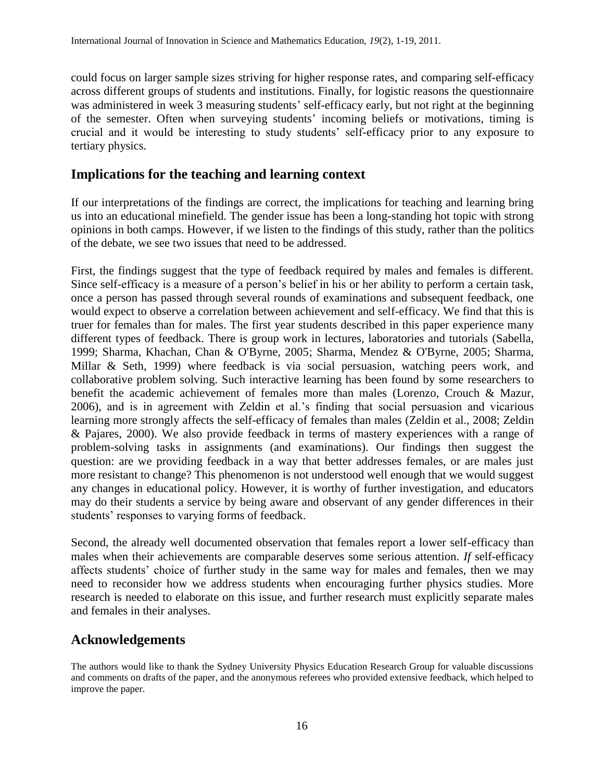could focus on larger sample sizes striving for higher response rates, and comparing self-efficacy across different groups of students and institutions. Finally, for logistic reasons the questionnaire was administered in week 3 measuring students' self-efficacy early, but not right at the beginning of the semester. Often when surveying students' incoming beliefs or motivations, timing is crucial and it would be interesting to study students' self-efficacy prior to any exposure to tertiary physics.

# **Implications for the teaching and learning context**

If our interpretations of the findings are correct, the implications for teaching and learning bring us into an educational minefield. The gender issue has been a long-standing hot topic with strong opinions in both camps. However, if we listen to the findings of this study, rather than the politics of the debate, we see two issues that need to be addressed.

First, the findings suggest that the type of feedback required by males and females is different. Since self-efficacy is a measure of a person's belief in his or her ability to perform a certain task, once a person has passed through several rounds of examinations and subsequent feedback, one would expect to observe a correlation between achievement and self-efficacy. We find that this is truer for females than for males. The first year students described in this paper experience many different types of feedback. There is group work in lectures, laboratories and tutorials (Sabella, [1999;](#page-17-18) [Sharma, Khachan, Chan & O'Byrne, 2005;](#page-17-19) [Sharma, Mendez & O'Byrne, 2005;](#page-17-20) [Sharma,](#page-17-21)  [Millar & Seth, 1999\)](#page-17-21) where feedback is via social persuasion, watching peers work, and collaborative problem solving. Such interactive learning has been found by some researchers to benefit the academic achievement of females more than males [\(Lorenzo, Crouch & Mazur,](#page-17-22)  [2006\)](#page-17-22), and is in agreement with Zeldin et al.'s finding that social persuasion and vicarious learning more strongly affects the self-efficacy of females than males [\(Zeldin et al., 2008;](#page-18-0) [Zeldin](#page-18-2)  [& Pajares, 2000\)](#page-18-2). We also provide feedback in terms of mastery experiences with a range of problem-solving tasks in assignments (and examinations). Our findings then suggest the question: are we providing feedback in a way that better addresses females, or are males just more resistant to change? This phenomenon is not understood well enough that we would suggest any changes in educational policy. However, it is worthy of further investigation, and educators may do their students a service by being aware and observant of any gender differences in their students' responses to varying forms of feedback.

Second, the already well documented observation that females report a lower self-efficacy than males when their achievements are comparable deserves some serious attention. *If* self-efficacy affects students' choice of further study in the same way for males and females, then we may need to reconsider how we address students when encouraging further physics studies. More research is needed to elaborate on this issue, and further research must explicitly separate males and females in their analyses.

# **Acknowledgements**

The authors would like to thank the Sydney University Physics Education Research Group for valuable discussions and comments on drafts of the paper, and the anonymous referees who provided extensive feedback, which helped to improve the paper.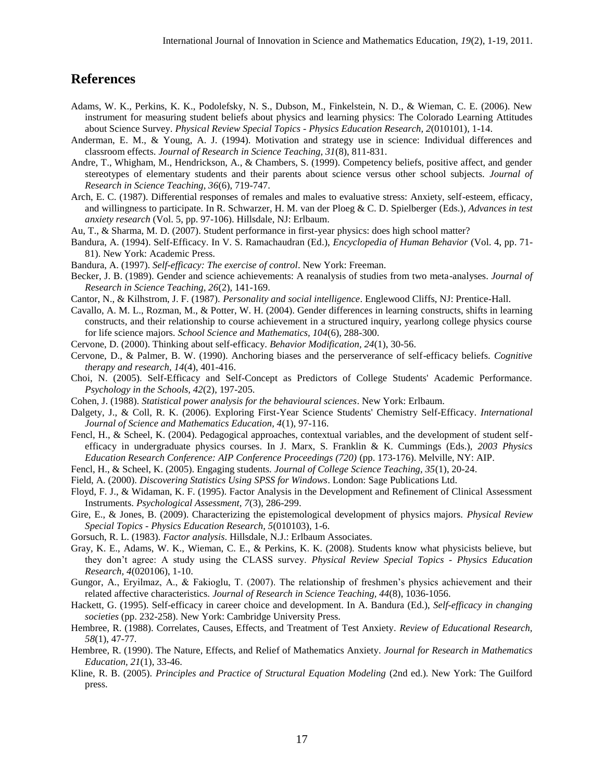#### **References**

- <span id="page-16-20"></span>Adams, W. K., Perkins, K. K., Podolefsky, N. S., Dubson, M., Finkelstein, N. D., & Wieman, C. E. (2006). New instrument for measuring student beliefs about physics and learning physics: The Colorado Learning Attitudes about Science Survey. *Physical Review Special Topics - Physics Education Research, 2*(010101), 1-14.
- <span id="page-16-19"></span>Anderman, E. M., & Young, A. J. (1994). Motivation and strategy use in science: Individual differences and classroom effects. *Journal of Research in Science Teaching, 31*(8), 811-831.
- <span id="page-16-16"></span>Andre, T., Whigham, M., Hendrickson, A., & Chambers, S. (1999). Competency beliefs, positive affect, and gender stereotypes of elementary students and their parents about science versus other school subjects. *Journal of Research in Science Teaching, 36*(6), 719-747.
- <span id="page-16-17"></span>Arch, E. C. (1987). Differential responses of remales and males to evaluative stress: Anxiety, self-esteem, efficacy, and willingness to participate. In R. Schwarzer, H. M. van der Ploeg & C. D. Spielberger (Eds.), *Advances in test anxiety research* (Vol. 5, pp. 97-106). Hillsdale, NJ: Erlbaum.
- <span id="page-16-24"></span>Au, T., & Sharma, M. D. (2007). Student performance in first-year physics: does high school matter?
- <span id="page-16-0"></span>Bandura, A. (1994). Self-Efficacy. In V. S. Ramachaudran (Ed.), *Encyclopedia of Human Behavior* (Vol. 4, pp. 71- 81). New York: Academic Press.
- <span id="page-16-10"></span>Bandura, A. (1997). *Self-efficacy: The exercise of control*. New York: Freeman.
- <span id="page-16-18"></span>Becker, J. B. (1989). Gender and science achievements: A reanalysis of studies from two meta-analyses. *Journal of Research in Science Teaching, 26*(2), 141-169.
- <span id="page-16-13"></span>Cantor, N., & Kilhstrom, J. F. (1987). *Personality and social intelligence*. Englewood Cliffs, NJ: Prentice-Hall.
- <span id="page-16-7"></span>Cavallo, A. M. L., Rozman, M., & Potter, W. H. (2004). Gender differences in learning constructs, shifts in learning constructs, and their relationship to course achievement in a structured inquiry, yearlong college physics course for life science majors. *School Science and Mathematics, 104*(6), 288-300.
- <span id="page-16-11"></span>Cervone, D. (2000). Thinking about self-efficacy. *Behavior Modification, 24*(1), 30-56.
- <span id="page-16-12"></span>Cervone, D., & Palmer, B. W. (1990). Anchoring biases and the perserverance of self-efficacy beliefs. *Cognitive therapy and research, 14*(4), 401-416.
- <span id="page-16-9"></span>Choi, N. (2005). Self-Efficacy and Self-Concept as Predictors of College Students' Academic Performance. *Psychology in the Schools, 42*(2), 197-205.
- <span id="page-16-26"></span>Cohen, J. (1988). *Statistical power analysis for the behavioural sciences*. New York: Erlbaum.
- <span id="page-16-3"></span>Dalgety, J., & Coll, R. K. (2006). Exploring First-Year Science Students' Chemistry Self-Efficacy. *International Journal of Science and Mathematics Education, 4*(1), 97-116.
- <span id="page-16-5"></span>Fencl, H., & Scheel, K. (2004). Pedagogical approaches, contextual variables, and the development of student selfefficacy in undergraduate physics courses. In J. Marx, S. Franklin & K. Cummings (Eds.), *2003 Physics Education Research Conference: AIP Conference Proceedings (720)* (pp. 173-176). Melville, NY: AIP.
- <span id="page-16-4"></span>Fencl, H., & Scheel, K. (2005). Engaging students. *Journal of College Science Teaching, 35*(1), 20-24.
- <span id="page-16-21"></span>Field, A. (2000). *Discovering Statistics Using SPSS for Windows*. London: Sage Publications Ltd.
- <span id="page-16-22"></span>Floyd, F. J., & Widaman, K. F. (1995). Factor Analysis in the Development and Refinement of Clinical Assessment Instruments. *Psychological Assessment, 7*(3), 286-299.
- <span id="page-16-1"></span>Gire, E., & Jones, B. (2009). Characterizing the epistemological development of physics majors. *Physical Review Special Topics - Physics Education Research, 5*(010103), 1-6.
- <span id="page-16-25"></span>Gorsuch, R. L. (1983). *Factor analysis*. Hillsdale, N.J.: Erlbaum Associates.
- <span id="page-16-2"></span>Gray, K. E., Adams, W. K., Wieman, C. E., & Perkins, K. K. (2008). Students know what physicists believe, but they don't agree: A study using the CLASS survey. *Physical Review Special Topics - Physics Education Research, 4*(020106), 1-10.
- <span id="page-16-6"></span>Gungor, A., Eryilmaz, A., & Fakioglu, T. (2007). The relationship of freshmen's physics achievement and their related affective characteristics. *Journal of Research in Science Teaching, 44*(8), 1036-1056.
- <span id="page-16-8"></span>Hackett, G. (1995). Self-efficacy in career choice and development. In A. Bandura (Ed.), *Self-efficacy in changing societies* (pp. 232-258). New York: Cambridge University Press.
- <span id="page-16-14"></span>Hembree, R. (1988). Correlates, Causes, Effects, and Treatment of Test Anxiety. *Review of Educational Research, 58*(1), 47-77.
- <span id="page-16-15"></span>Hembree, R. (1990). The Nature, Effects, and Relief of Mathematics Anxiety. *Journal for Research in Mathematics Education, 21*(1), 33-46.
- <span id="page-16-23"></span>Kline, R. B. (2005). *Principles and Practice of Structural Equation Modeling* (2nd ed.). New York: The Guilford press.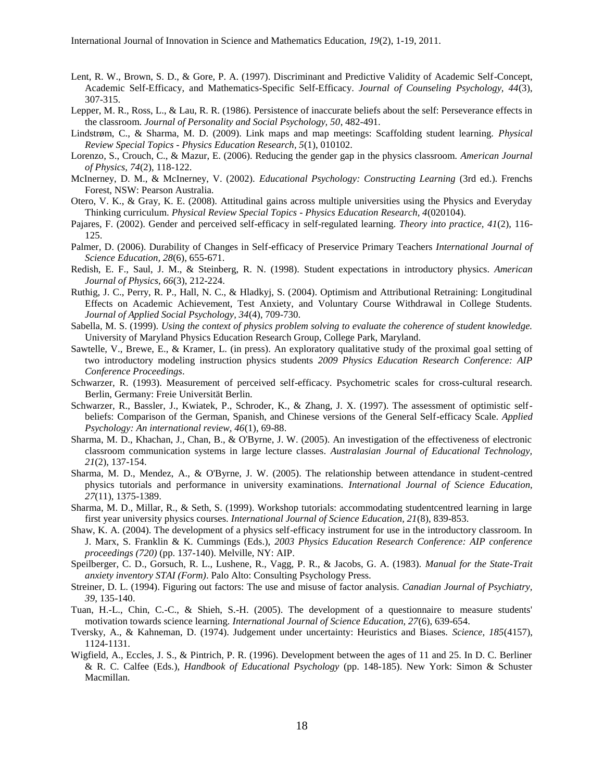- <span id="page-17-4"></span>Lent, R. W., Brown, S. D., & Gore, P. A. (1997). Discriminant and Predictive Validity of Academic Self-Concept, Academic Self-Efficacy, and Mathematics-Specific Self-Efficacy. *Journal of Counseling Psychology, 44*(3), 307-315.
- <span id="page-17-7"></span>Lepper, M. R., Ross, L., & Lau, R. R. (1986). Persistence of inaccurate beliefs about the self: Perseverance effects in the classroom. *Journal of Personality and Social Psychology, 50*, 482-491.
- <span id="page-17-17"></span>Lindstrøm, C., & Sharma, M. D. (2009). Link maps and map meetings: Scaffolding student learning. *Physical Review Special Topics - Physics Education Research, 5*(1), 010102.
- <span id="page-17-22"></span>Lorenzo, S., Crouch, C., & Mazur, E. (2006). Reducing the gender gap in the physics classroom. *American Journal of Physics, 74*(2), 118-122.
- <span id="page-17-5"></span>McInerney, D. M., & McInerney, V. (2002). *Educational Psychology: Constructing Learning* (3rd ed.). Frenchs Forest, NSW: Pearson Australia.
- <span id="page-17-0"></span>Otero, V. K., & Gray, K. E. (2008). Attitudinal gains across multiple universities using the Physics and Everyday Thinking curriculum. *Physical Review Special Topics - Physics Education Research, 4*(020104).
- <span id="page-17-3"></span>Pajares, F. (2002). Gender and perceived self-efficacy in self-regulated learning. *Theory into practice, 41*(2), 116- 125.
- <span id="page-17-6"></span>Palmer, D. (2006). Durability of Changes in Self-efficacy of Preservice Primary Teachers *International Journal of Science Education, 28*(6), 655-671.
- <span id="page-17-13"></span>Redish, E. F., Saul, J. M., & Steinberg, R. N. (1998). Student expectations in introductory physics. *American Journal of Physics, 66*(3), 212-224.
- <span id="page-17-9"></span>Ruthig, J. C., Perry, R. P., Hall, N. C., & Hladkyj, S. (2004). Optimism and Attributional Retraining: Longitudinal Effects on Academic Achievement, Test Anxiety, and Voluntary Course Withdrawal in College Students. *Journal of Applied Social Psychology, 34*(4), 709-730.
- <span id="page-17-18"></span>Sabella, M. S. (1999). *Using the context of physics problem solving to evaluate the coherence of student knowledge.* University of Maryland Physics Education Research Group, College Park, Maryland.
- <span id="page-17-2"></span>Sawtelle, V., Brewe, E., & Kramer, L. (in press). An exploratory qualitative study of the proximal goal setting of two introductory modeling instruction physics students *2009 Physics Education Research Conference: AIP Conference Proceedings*.
- <span id="page-17-12"></span>Schwarzer, R. (1993). Measurement of perceived self-efficacy. Psychometric scales for cross-cultural research. Berlin, Germany: Freie Universität Berlin.
- <span id="page-17-14"></span>Schwarzer, R., Bassler, J., Kwiatek, P., Schroder, K., & Zhang, J. X. (1997). The assessment of optimistic selfbeliefs: Comparison of the German, Spanish, and Chinese versions of the General Self-efficacy Scale. *Applied Psychology: An international review, 46*(1), 69-88.
- <span id="page-17-19"></span>Sharma, M. D., Khachan, J., Chan, B., & O'Byrne, J. W. (2005). An investigation of the effectiveness of electronic classroom communication systems in large lecture classes. *Australasian Journal of Educational Technology, 21*(2), 137-154.
- <span id="page-17-20"></span>Sharma, M. D., Mendez, A., & O'Byrne, J. W. (2005). The relationship between attendance in student-centred physics tutorials and performance in university examinations. *International Journal of Science Education, 27*(11), 1375-1389.
- <span id="page-17-21"></span>Sharma, M. D., Millar, R., & Seth, S. (1999). Workshop tutorials: accommodating studentcentred learning in large first year university physics courses. *International Journal of Science Education, 21*(8), 839-853.
- <span id="page-17-1"></span>Shaw, K. A. (2004). The development of a physics self-efficacy instrument for use in the introductory classroom. In J. Marx, S. Franklin & K. Cummings (Eds.), *2003 Physics Education Research Conference: AIP conference proceedings (720)* (pp. 137-140). Melville, NY: AIP.
- <span id="page-17-10"></span>Speilberger, C. D., Gorsuch, R. L., Lushene, R., Vagg, P. R., & Jacobs, G. A. (1983). *Manual for the State-Trait anxiety inventory STAI (Form)*. Palo Alto: Consulting Psychology Press.
- <span id="page-17-16"></span>Streiner, D. L. (1994). Figuring out factors: The use and misuse of factor analysis. *Canadian Journal of Psychiatry, 39*, 135-140.
- <span id="page-17-15"></span>Tuan, H.-L., Chin, C.-C., & Shieh, S.-H. (2005). The development of a questionnaire to measure students' motivation towards science learning. *International Journal of Science Education, 27*(6), 639-654.
- <span id="page-17-8"></span>Tversky, A., & Kahneman, D. (1974). Judgement under uncertainty: Heuristics and Biases. *Science, 185*(4157), 1124-1131.
- <span id="page-17-11"></span>Wigfield, A., Eccles, J. S., & Pintrich, P. R. (1996). Development between the ages of 11 and 25. In D. C. Berliner & R. C. Calfee (Eds.), *Handbook of Educational Psychology* (pp. 148-185). New York: Simon & Schuster Macmillan.